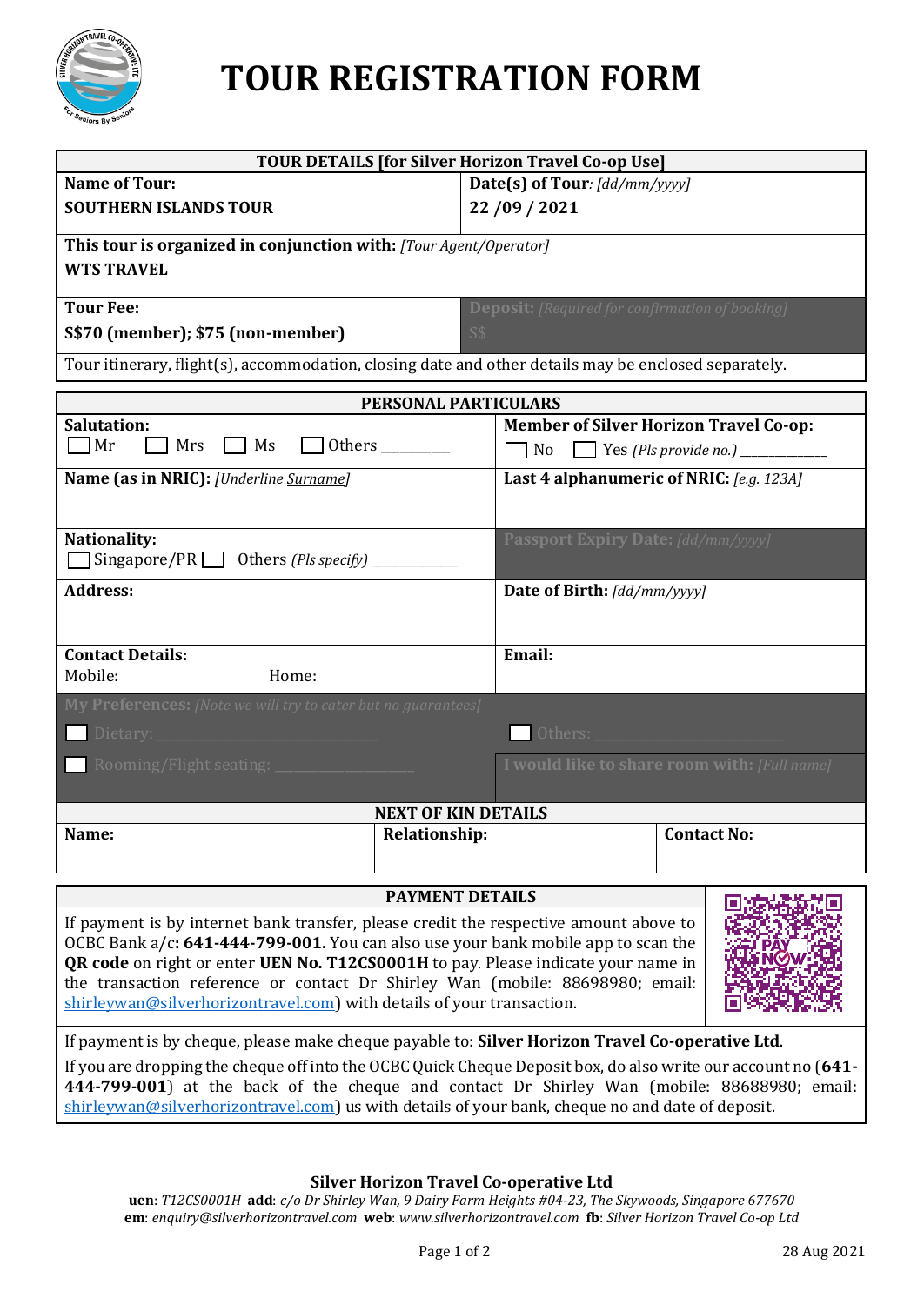

# **TOUR REGISTRATION FORM**

| <b>TOUR DETAILS [for Silver Horizon Travel Co-op Use]</b>                                                                                                                                                                                                                                                                                                                                                                    |                                                        |  |
|------------------------------------------------------------------------------------------------------------------------------------------------------------------------------------------------------------------------------------------------------------------------------------------------------------------------------------------------------------------------------------------------------------------------------|--------------------------------------------------------|--|
| <b>Name of Tour:</b>                                                                                                                                                                                                                                                                                                                                                                                                         | Date(s) of Tour: [dd/mm/yyyy]                          |  |
| <b>SOUTHERN ISLANDS TOUR</b>                                                                                                                                                                                                                                                                                                                                                                                                 | 22/09/2021                                             |  |
| This tour is organized in conjunction with: [Tour Agent/Operator]<br><b>WTS TRAVEL</b>                                                                                                                                                                                                                                                                                                                                       |                                                        |  |
| <b>Tour Fee:</b>                                                                                                                                                                                                                                                                                                                                                                                                             | <b>Deposit:</b> [Required for confirmation of booking] |  |
| S\$70 (member); \$75 (non-member)                                                                                                                                                                                                                                                                                                                                                                                            | S\$                                                    |  |
| Tour itinerary, flight(s), accommodation, closing date and other details may be enclosed separately.                                                                                                                                                                                                                                                                                                                         |                                                        |  |
| PERSONAL PARTICULARS                                                                                                                                                                                                                                                                                                                                                                                                         |                                                        |  |
| <b>Salutation:</b>                                                                                                                                                                                                                                                                                                                                                                                                           | <b>Member of Silver Horizon Travel Co-op:</b>          |  |
| $\Box$ Mr<br>Mrs<br>MS<br>Others _________                                                                                                                                                                                                                                                                                                                                                                                   |                                                        |  |
| Name (as in NRIC): [Underline Surname]                                                                                                                                                                                                                                                                                                                                                                                       | Last 4 alphanumeric of NRIC: [e.g. 123A]               |  |
| Nationality:<br>$\Box$ Singapore/PR $\Box$ Others (Pls specify) $\Box$                                                                                                                                                                                                                                                                                                                                                       | <b>Passport Expiry Date: [dd/mm/yyyy]</b>              |  |
| <b>Address:</b>                                                                                                                                                                                                                                                                                                                                                                                                              | Date of Birth: [dd/mm/yyyy]                            |  |
| <b>Contact Details:</b><br>Mobile:<br>Home:                                                                                                                                                                                                                                                                                                                                                                                  | Email:                                                 |  |
| My Preferences: [Note we will try to cater but no guarantees]                                                                                                                                                                                                                                                                                                                                                                |                                                        |  |
|                                                                                                                                                                                                                                                                                                                                                                                                                              | I would like to share room with: [Full name]           |  |
| <b>NEXT OF KIN DETAILS</b>                                                                                                                                                                                                                                                                                                                                                                                                   |                                                        |  |
| Name:<br><b>Relationship:</b>                                                                                                                                                                                                                                                                                                                                                                                                | <b>Contact No:</b>                                     |  |
|                                                                                                                                                                                                                                                                                                                                                                                                                              | <b>PAYMENT DETAILS</b>                                 |  |
| If payment is by internet bank transfer, please credit the respective amount above to<br>OCBC Bank $a/c: 641-444-799-001$ . You can also use your bank mobile app to scan the<br>QR code on right or enter UEN No. T12CS0001H to pay. Please indicate your name in<br>the transaction reference or contact Dr Shirley Wan (mobile: 88698980; email:<br>shirleywan@silverhorizontravel.com) with details of your transaction. |                                                        |  |
| If payment is by cheque, please make cheque payable to: Silver Horizon Travel Co-operative Ltd.<br>If you are dropping the cheque off into the OCBC Quick Cheque Deposit box, do also write our account no (641-<br>444-799-001) at the back of the cheque and contact Dr Shirley Wan (mobile: 88688980; email:<br>shirleywan@silverhorizontravel.com) us with details of your bank, cheque no and date of deposit.          |                                                        |  |

**Silver Horizon Travel Co-operative Ltd**

**uen**: *T12CS0001H* **add**: *c/o Dr Shirley Wan, 9 Dairy Farm Heights #04-23, The Skywoods, Singapore 677670* **em**: *enquiry@silverhorizontravel.com* **web**: *www.silverhorizontravel.com* **fb**: *Silver Horizon Travel Co-op Ltd*